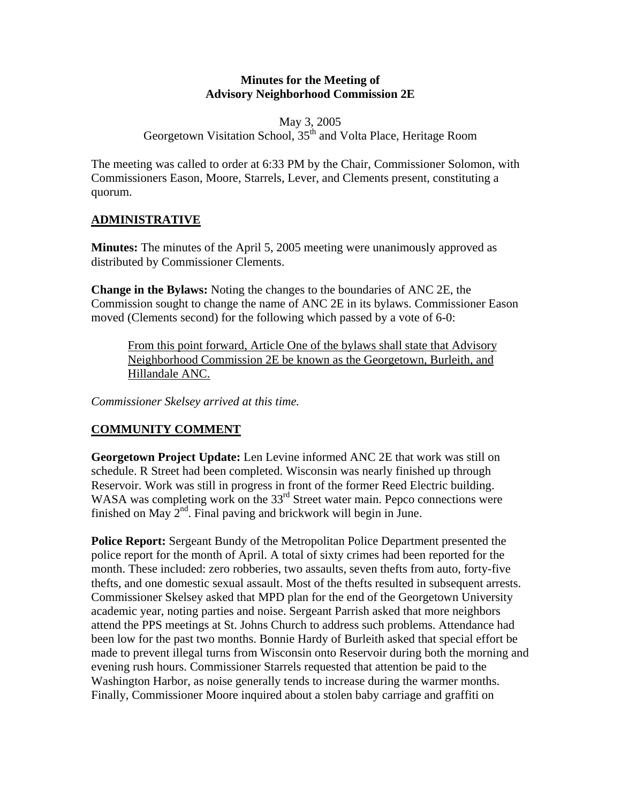#### **Minutes for the Meeting of Advisory Neighborhood Commission 2E**

#### May 3, 2005 Georgetown Visitation School, 35<sup>th</sup> and Volta Place, Heritage Room

The meeting was called to order at 6:33 PM by the Chair, Commissioner Solomon, with Commissioners Eason, Moore, Starrels, Lever, and Clements present, constituting a quorum.

# **ADMINISTRATIVE**

**Minutes:** The minutes of the April 5, 2005 meeting were unanimously approved as distributed by Commissioner Clements.

**Change in the Bylaws:** Noting the changes to the boundaries of ANC 2E, the Commission sought to change the name of ANC 2E in its bylaws. Commissioner Eason moved (Clements second) for the following which passed by a vote of 6-0:

From this point forward, Article One of the bylaws shall state that Advisory Neighborhood Commission 2E be known as the Georgetown, Burleith, and Hillandale ANC.

*Commissioner Skelsey arrived at this time.* 

# **COMMUNITY COMMENT**

**Georgetown Project Update:** Len Levine informed ANC 2E that work was still on schedule. R Street had been completed. Wisconsin was nearly finished up through Reservoir. Work was still in progress in front of the former Reed Electric building. WASA was completing work on the 33<sup>rd</sup> Street water main. Pepco connections were finished on May  $2<sup>nd</sup>$ . Final paving and brickwork will begin in June.

**Police Report:** Sergeant Bundy of the Metropolitan Police Department presented the police report for the month of April. A total of sixty crimes had been reported for the month. These included: zero robberies, two assaults, seven thefts from auto, forty-five thefts, and one domestic sexual assault. Most of the thefts resulted in subsequent arrests. Commissioner Skelsey asked that MPD plan for the end of the Georgetown University academic year, noting parties and noise. Sergeant Parrish asked that more neighbors attend the PPS meetings at St. Johns Church to address such problems. Attendance had been low for the past two months. Bonnie Hardy of Burleith asked that special effort be made to prevent illegal turns from Wisconsin onto Reservoir during both the morning and evening rush hours. Commissioner Starrels requested that attention be paid to the Washington Harbor, as noise generally tends to increase during the warmer months. Finally, Commissioner Moore inquired about a stolen baby carriage and graffiti on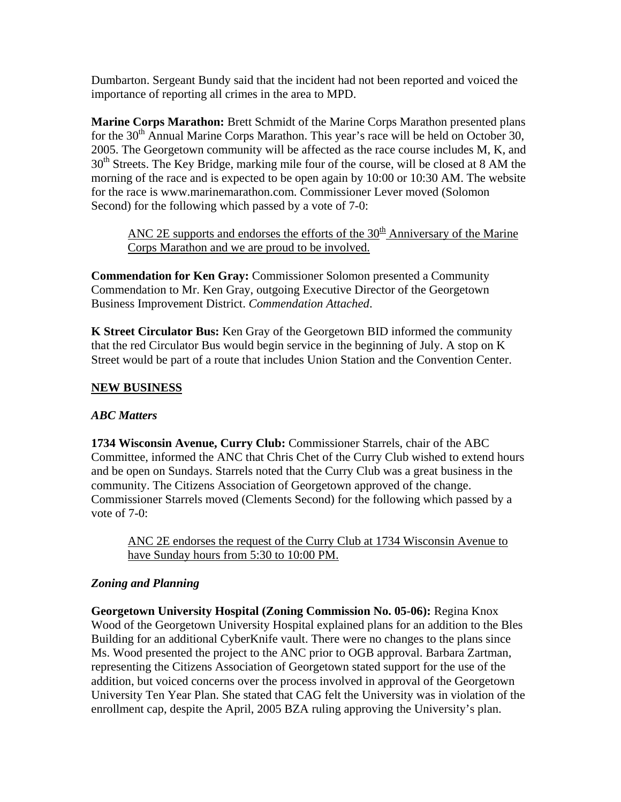Dumbarton. Sergeant Bundy said that the incident had not been reported and voiced the importance of reporting all crimes in the area to MPD.

**Marine Corps Marathon:** Brett Schmidt of the Marine Corps Marathon presented plans for the  $30<sup>th</sup>$  Annual Marine Corps Marathon. This year's race will be held on October 30, 2005. The Georgetown community will be affected as the race course includes M, K, and  $30<sup>th</sup>$  Streets. The Key Bridge, marking mile four of the course, will be closed at 8 AM the morning of the race and is expected to be open again by 10:00 or 10:30 AM. The website for the race is [www.marinemarathon.com.](http://www.marinemarathon.com/) Commissioner Lever moved (Solomon Second) for the following which passed by a vote of 7-0:

ANC 2E supports and endorses the efforts of the  $30<sup>th</sup>$  Anniversary of the Marine Corps Marathon and we are proud to be involved.

**Commendation for Ken Gray:** Commissioner Solomon presented a Community Commendation to Mr. Ken Gray, outgoing Executive Director of the Georgetown Business Improvement District. *Commendation Attached*.

**K Street Circulator Bus:** Ken Gray of the Georgetown BID informed the community that the red Circulator Bus would begin service in the beginning of July. A stop on K Street would be part of a route that includes Union Station and the Convention Center.

### **NEW BUSINESS**

### *ABC Matters*

**1734 Wisconsin Avenue, Curry Club:** Commissioner Starrels, chair of the ABC Committee, informed the ANC that Chris Chet of the Curry Club wished to extend hours and be open on Sundays. Starrels noted that the Curry Club was a great business in the community. The Citizens Association of Georgetown approved of the change. Commissioner Starrels moved (Clements Second) for the following which passed by a vote of 7-0:

ANC 2E endorses the request of the Curry Club at 1734 Wisconsin Avenue to have Sunday hours from 5:30 to 10:00 PM.

### *Zoning and Planning*

**Georgetown University Hospital (Zoning Commission No. 05-06):** Regina Knox Wood of the Georgetown University Hospital explained plans for an addition to the Bles Building for an additional CyberKnife vault. There were no changes to the plans since Ms. Wood presented the project to the ANC prior to OGB approval. Barbara Zartman, representing the Citizens Association of Georgetown stated support for the use of the addition, but voiced concerns over the process involved in approval of the Georgetown University Ten Year Plan. She stated that CAG felt the University was in violation of the enrollment cap, despite the April, 2005 BZA ruling approving the University's plan.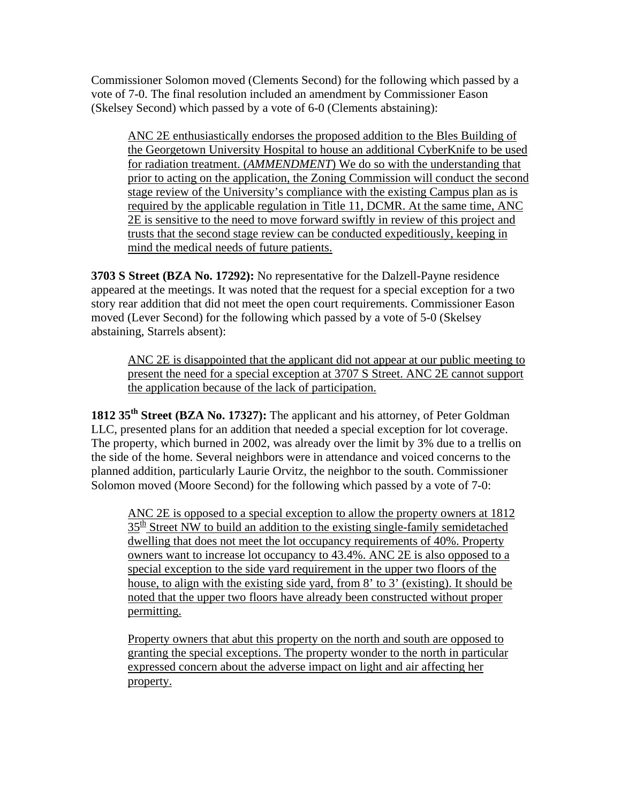Commissioner Solomon moved (Clements Second) for the following which passed by a vote of 7-0. The final resolution included an amendment by Commissioner Eason (Skelsey Second) which passed by a vote of 6-0 (Clements abstaining):

ANC 2E enthusiastically endorses the proposed addition to the Bles Building of the Georgetown University Hospital to house an additional CyberKnife to be used for radiation treatment. (*AMMENDMENT*) We do so with the understanding that prior to acting on the application, the Zoning Commission will conduct the second stage review of the University's compliance with the existing Campus plan as is required by the applicable regulation in Title 11, DCMR. At the same time, ANC 2E is sensitive to the need to move forward swiftly in review of this project and trusts that the second stage review can be conducted expeditiously, keeping in mind the medical needs of future patients.

**3703 S Street (BZA No. 17292):** No representative for the Dalzell-Payne residence appeared at the meetings. It was noted that the request for a special exception for a two story rear addition that did not meet the open court requirements. Commissioner Eason moved (Lever Second) for the following which passed by a vote of 5-0 (Skelsey abstaining, Starrels absent):

ANC 2E is disappointed that the applicant did not appear at our public meeting to present the need for a special exception at 3707 S Street. ANC 2E cannot support the application because of the lack of participation.

**1812 35th Street (BZA No. 17327):** The applicant and his attorney, of Peter Goldman LLC, presented plans for an addition that needed a special exception for lot coverage. The property, which burned in 2002, was already over the limit by 3% due to a trellis on the side of the home. Several neighbors were in attendance and voiced concerns to the planned addition, particularly Laurie Orvitz, the neighbor to the south. Commissioner Solomon moved (Moore Second) for the following which passed by a vote of 7-0:

ANC 2E is opposed to a special exception to allow the property owners at 1812  $35<sup>th</sup>$  Street NW to build an addition to the existing single-family semidetached dwelling that does not meet the lot occupancy requirements of 40%. Property owners want to increase lot occupancy to 43.4%. ANC 2E is also opposed to a special exception to the side yard requirement in the upper two floors of the house, to align with the existing side yard, from 8' to 3' (existing). It should be noted that the upper two floors have already been constructed without proper permitting.

Property owners that abut this property on the north and south are opposed to granting the special exceptions. The property wonder to the north in particular expressed concern about the adverse impact on light and air affecting her property.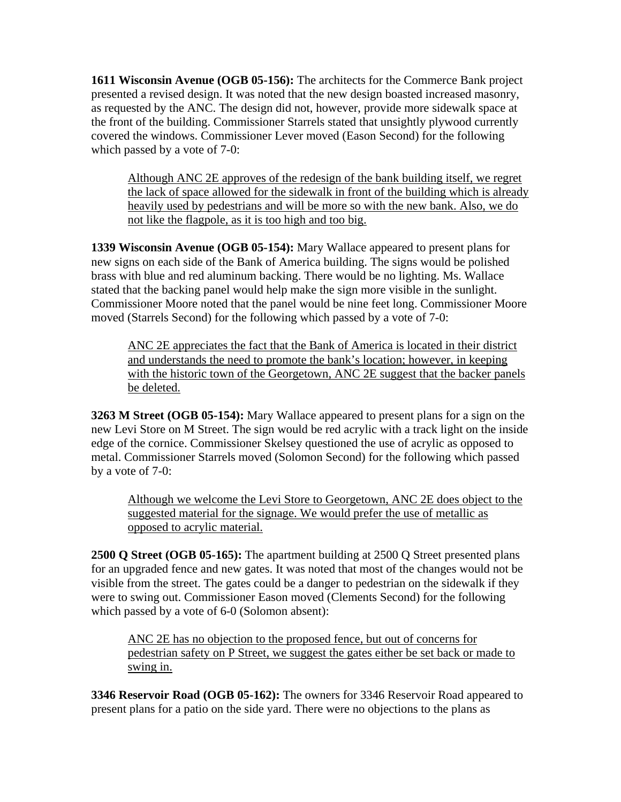**1611 Wisconsin Avenue (OGB 05-156):** The architects for the Commerce Bank project presented a revised design. It was noted that the new design boasted increased masonry, as requested by the ANC. The design did not, however, provide more sidewalk space at the front of the building. Commissioner Starrels stated that unsightly plywood currently covered the windows. Commissioner Lever moved (Eason Second) for the following which passed by a vote of 7-0:

Although ANC 2E approves of the redesign of the bank building itself, we regret the lack of space allowed for the sidewalk in front of the building which is already heavily used by pedestrians and will be more so with the new bank. Also, we do not like the flagpole, as it is too high and too big.

**1339 Wisconsin Avenue (OGB 05-154):** Mary Wallace appeared to present plans for new signs on each side of the Bank of America building. The signs would be polished brass with blue and red aluminum backing. There would be no lighting. Ms. Wallace stated that the backing panel would help make the sign more visible in the sunlight. Commissioner Moore noted that the panel would be nine feet long. Commissioner Moore moved (Starrels Second) for the following which passed by a vote of 7-0:

ANC 2E appreciates the fact that the Bank of America is located in their district and understands the need to promote the bank's location; however, in keeping with the historic town of the Georgetown, ANC 2E suggest that the backer panels be deleted.

**3263 M Street (OGB 05-154):** Mary Wallace appeared to present plans for a sign on the new Levi Store on M Street. The sign would be red acrylic with a track light on the inside edge of the cornice. Commissioner Skelsey questioned the use of acrylic as opposed to metal. Commissioner Starrels moved (Solomon Second) for the following which passed by a vote of 7-0:

Although we welcome the Levi Store to Georgetown, ANC 2E does object to the suggested material for the signage. We would prefer the use of metallic as opposed to acrylic material.

**2500 Q Street (OGB 05-165):** The apartment building at 2500 Q Street presented plans for an upgraded fence and new gates. It was noted that most of the changes would not be visible from the street. The gates could be a danger to pedestrian on the sidewalk if they were to swing out. Commissioner Eason moved (Clements Second) for the following which passed by a vote of 6-0 (Solomon absent):

ANC 2E has no objection to the proposed fence, but out of concerns for pedestrian safety on P Street, we suggest the gates either be set back or made to swing in.

**3346 Reservoir Road (OGB 05-162):** The owners for 3346 Reservoir Road appeared to present plans for a patio on the side yard. There were no objections to the plans as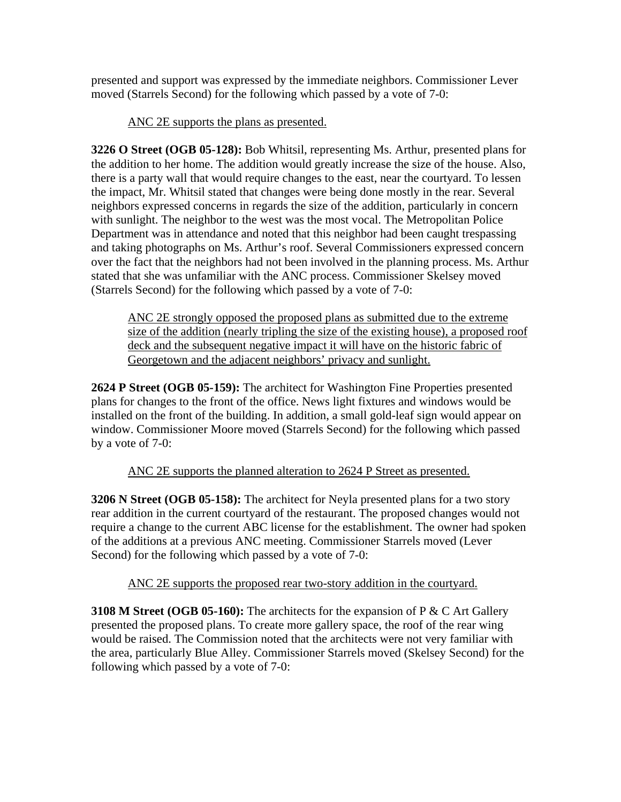presented and support was expressed by the immediate neighbors. Commissioner Lever moved (Starrels Second) for the following which passed by a vote of 7-0:

### ANC 2E supports the plans as presented.

**3226 O Street (OGB 05-128):** Bob Whitsil, representing Ms. Arthur, presented plans for the addition to her home. The addition would greatly increase the size of the house. Also, there is a party wall that would require changes to the east, near the courtyard. To lessen the impact, Mr. Whitsil stated that changes were being done mostly in the rear. Several neighbors expressed concerns in regards the size of the addition, particularly in concern with sunlight. The neighbor to the west was the most vocal. The Metropolitan Police Department was in attendance and noted that this neighbor had been caught trespassing and taking photographs on Ms. Arthur's roof. Several Commissioners expressed concern over the fact that the neighbors had not been involved in the planning process. Ms. Arthur stated that she was unfamiliar with the ANC process. Commissioner Skelsey moved (Starrels Second) for the following which passed by a vote of 7-0:

ANC 2E strongly opposed the proposed plans as submitted due to the extreme size of the addition (nearly tripling the size of the existing house), a proposed roof deck and the subsequent negative impact it will have on the historic fabric of Georgetown and the adjacent neighbors' privacy and sunlight.

**2624 P Street (OGB 05-159):** The architect for Washington Fine Properties presented plans for changes to the front of the office. News light fixtures and windows would be installed on the front of the building. In addition, a small gold-leaf sign would appear on window. Commissioner Moore moved (Starrels Second) for the following which passed by a vote of 7-0:

ANC 2E supports the planned alteration to 2624 P Street as presented.

**3206 N Street (OGB 05-158):** The architect for Neyla presented plans for a two story rear addition in the current courtyard of the restaurant. The proposed changes would not require a change to the current ABC license for the establishment. The owner had spoken of the additions at a previous ANC meeting. Commissioner Starrels moved (Lever Second) for the following which passed by a vote of 7-0:

ANC 2E supports the proposed rear two-story addition in the courtyard.

**3108 M Street (OGB 05-160):** The architects for the expansion of P & C Art Gallery presented the proposed plans. To create more gallery space, the roof of the rear wing would be raised. The Commission noted that the architects were not very familiar with the area, particularly Blue Alley. Commissioner Starrels moved (Skelsey Second) for the following which passed by a vote of 7-0: